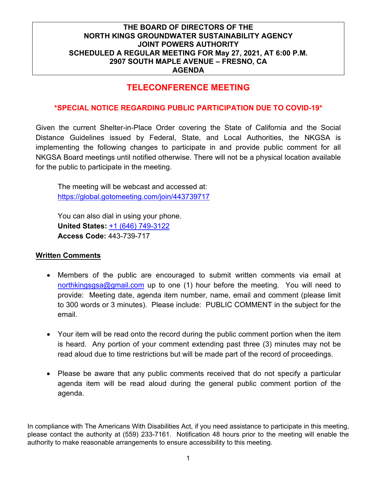## **TELECONFERENCE MEETING**

#### **\*SPECIAL NOTICE REGARDING PUBLIC PARTICIPATION DUE TO COVID-19\***

Given the current Shelter-in-Place Order covering the State of California and the Social Distance Guidelines issued by Federal, State, and Local Authorities, the NKGSA is implementing the following changes to participate in and provide public comment for all NKGSA Board meetings until notified otherwise. There will not be a physical location available for the public to participate in the meeting.

The meeting will be webcast and accessed at: <https://global.gotomeeting.com/join/443739717>

You can also dial in using your phone. **United States:** [+1 \(646\) 749-3122](tel:+16467493122,,443739717) **Access Code:** 443-739-717

#### **Written Comments**

- Members of the public are encouraged to submit written comments via email at [northkingsgsa@gmail.com](mailto:northkingsgsa@gmail.com) up to one (1) hour before the meeting. You will need to provide: Meeting date, agenda item number, name, email and comment (please limit to 300 words or 3 minutes). Please include: PUBLIC COMMENT in the subject for the email.
- Your item will be read onto the record during the public comment portion when the item is heard. Any portion of your comment extending past three (3) minutes may not be read aloud due to time restrictions but will be made part of the record of proceedings.
- Please be aware that any public comments received that do not specify a particular agenda item will be read aloud during the general public comment portion of the agenda.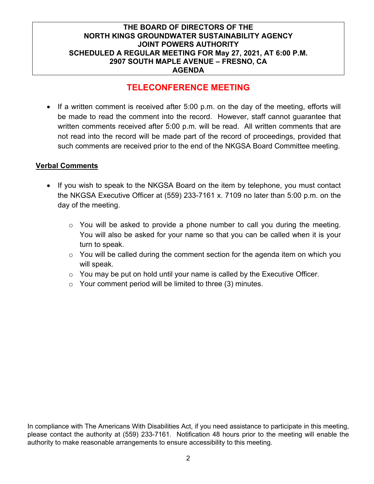## **TELECONFERENCE MEETING**

• If a written comment is received after 5:00 p.m. on the day of the meeting, efforts will be made to read the comment into the record. However, staff cannot guarantee that written comments received after 5:00 p.m. will be read. All written comments that are not read into the record will be made part of the record of proceedings, provided that such comments are received prior to the end of the NKGSA Board Committee meeting.

#### **Verbal Comments**

- If you wish to speak to the NKGSA Board on the item by telephone, you must contact the NKGSA Executive Officer at (559) 233-7161 x. 7109 no later than 5:00 p.m. on the day of the meeting.
	- o You will be asked to provide a phone number to call you during the meeting. You will also be asked for your name so that you can be called when it is your turn to speak.
	- $\circ$  You will be called during the comment section for the agenda item on which you will speak.
	- $\circ$  You may be put on hold until your name is called by the Executive Officer.
	- $\circ$  Your comment period will be limited to three (3) minutes.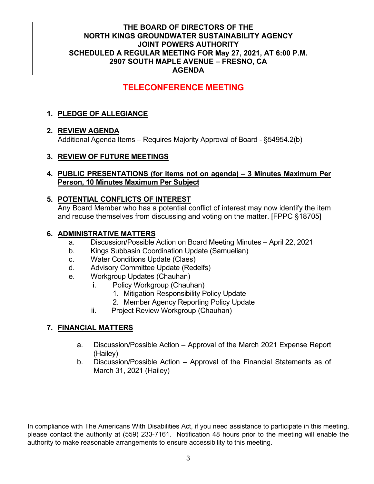# **TELECONFERENCE MEETING**

## **1. PLEDGE OF ALLEGIANCE**

## **2. REVIEW AGENDA**

Additional Agenda Items – Requires Majority Approval of Board - §54954.2(b)

## **3. REVIEW OF FUTURE MEETINGS**

#### **4. PUBLIC PRESENTATIONS (for items not on agenda) – 3 Minutes Maximum Per Person, 10 Minutes Maximum Per Subject**

### **5. POTENTIAL CONFLICTS OF INTEREST**

Any Board Member who has a potential conflict of interest may now identify the item and recuse themselves from discussing and voting on the matter. [FPPC §18705]

### **6. ADMINISTRATIVE MATTERS**

- a. Discussion/Possible Action on Board Meeting Minutes April 22, 2021
- b. Kings Subbasin Coordination Update (Samuelian)
- c. Water Conditions Update (Claes)
- d. Advisory Committee Update (Redelfs)
- e. Workgroup Updates (Chauhan)
	- i. Policy Workgroup (Chauhan)
		- 1. Mitigation Responsibility Policy Update
		- 2. Member Agency Reporting Policy Update
	- ii. Project Review Workgroup (Chauhan)

## **7. FINANCIAL MATTERS**

- a. Discussion/Possible Action Approval of the March 2021 Expense Report (Hailey)
- b. Discussion/Possible Action Approval of the Financial Statements as of March 31, 2021 (Hailey)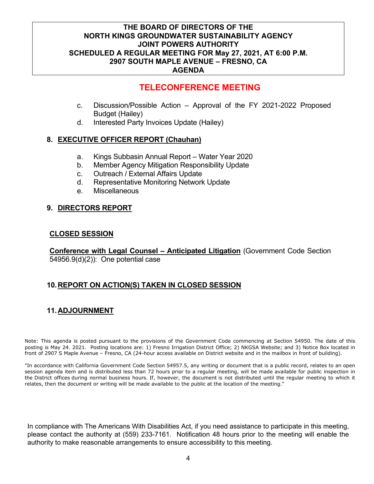## **TELECONFERENCE MEETING**

- c. Discussion/Possible Action Approval of the FY 2021-2022 Proposed Budget (Hailey)
- d. Interested Party Invoices Update (Hailey)

#### **8. EXECUTIVE OFFICER REPORT (Chauhan)**

- a. Kings Subbasin Annual Report Water Year 2020
- b. Member Agency Mitigation Responsibility Update
- c. Outreach / External Affairs Update
- d. Representative Monitoring Network Update
- e. Miscellaneous

#### **9. DIRECTORS REPORT**

#### **CLOSED SESSION**

**Conference with Legal Counsel – Anticipated Litigation** (Government Code Section 54956.9(d)(2)): One potential case

## **10.REPORT ON ACTION(S) TAKEN IN CLOSED SESSION**

## **11.ADJOURNMENT**

Note: This agenda is posted pursuant to the provisions of the Government Code commencing at Section 54950. The date of this posting is May 24. 2021. Posting locations are: 1) Fresno Irrigation District Office; 2) NKGSA Website; and 3) Notice Box located in front of 2907 S Maple Avenue – Fresno, CA (24-hour access available on District website and in the mailbox in front of building).

"In accordance with California Government Code Section 54957.5, any writing or document that is a public record, relates to an open session agenda item and is distributed less than 72 hours prior to a regular meeting, will be made available for public inspection in the District offices during normal business hours. If, however, the document is not distributed until the regular meeting to which it relates, then the document or writing will be made available to the public at the location of the meeting."